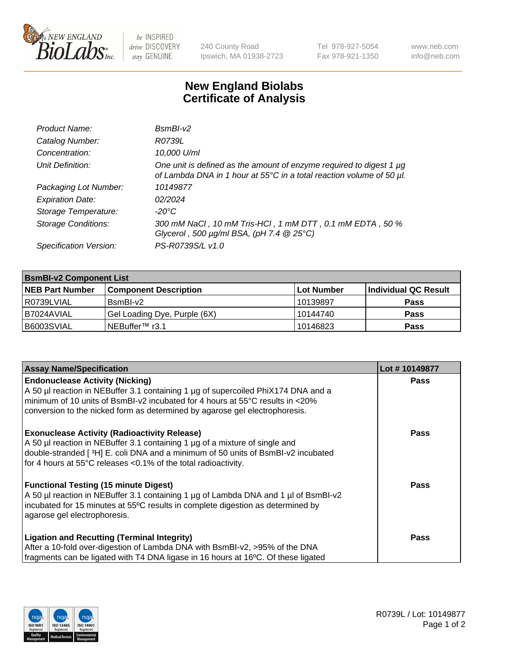

 $be$  INSPIRED drive DISCOVERY stay GENUINE

240 County Road Ipswich, MA 01938-2723 Tel 978-927-5054 Fax 978-921-1350 www.neb.com info@neb.com

## **New England Biolabs Certificate of Analysis**

| Product Name:              | $BsmBl-v2$                                                                                                                                  |
|----------------------------|---------------------------------------------------------------------------------------------------------------------------------------------|
| Catalog Number:            | R0739L                                                                                                                                      |
| Concentration:             | 10,000 U/ml                                                                                                                                 |
| Unit Definition:           | One unit is defined as the amount of enzyme required to digest 1 µg<br>of Lambda DNA in 1 hour at 55°C in a total reaction volume of 50 µl. |
| Packaging Lot Number:      | 10149877                                                                                                                                    |
| <b>Expiration Date:</b>    | 02/2024                                                                                                                                     |
| Storage Temperature:       | $-20^{\circ}$ C                                                                                                                             |
| <b>Storage Conditions:</b> | 300 mM NaCl, 10 mM Tris-HCl, 1 mM DTT, 0.1 mM EDTA, 50 %<br>Glycerol, 500 $\mu$ g/ml BSA, (pH 7.4 $@25°C$ )                                 |
| Specification Version:     | PS-R0739S/L v1.0                                                                                                                            |

| <b>BsmBI-v2 Component List</b> |                              |                   |                      |  |  |
|--------------------------------|------------------------------|-------------------|----------------------|--|--|
| <b>NEB Part Number</b>         | <b>Component Description</b> | <b>Lot Number</b> | Individual QC Result |  |  |
| l R0739LVIAL                   | BsmBI-v2                     | 10139897          | <b>Pass</b>          |  |  |
| B7024AVIAL                     | Gel Loading Dye, Purple (6X) | 10144740          | <b>Pass</b>          |  |  |
| B6003SVIAL                     | INEBuffer™ r3.1              | 10146823          | <b>Pass</b>          |  |  |

| <b>Assay Name/Specification</b>                                                     | Lot #10149877 |
|-------------------------------------------------------------------------------------|---------------|
| <b>Endonuclease Activity (Nicking)</b>                                              | <b>Pass</b>   |
| A 50 µl reaction in NEBuffer 3.1 containing 1 µg of supercoiled PhiX174 DNA and a   |               |
| minimum of 10 units of BsmBI-v2 incubated for 4 hours at 55°C results in <20%       |               |
| conversion to the nicked form as determined by agarose gel electrophoresis.         |               |
| <b>Exonuclease Activity (Radioactivity Release)</b>                                 | Pass          |
| A 50 µl reaction in NEBuffer 3.1 containing 1 µg of a mixture of single and         |               |
| double-stranded [3H] E. coli DNA and a minimum of 50 units of BsmBI-v2 incubated    |               |
| for 4 hours at 55°C releases <0.1% of the total radioactivity.                      |               |
| <b>Functional Testing (15 minute Digest)</b>                                        | Pass          |
| A 50 µl reaction in NEBuffer 3.1 containing 1 µg of Lambda DNA and 1 µl of BsmBI-v2 |               |
| incubated for 15 minutes at 55°C results in complete digestion as determined by     |               |
| agarose gel electrophoresis.                                                        |               |
| <b>Ligation and Recutting (Terminal Integrity)</b>                                  | Pass          |
| After a 10-fold over-digestion of Lambda DNA with BsmBI-v2, >95% of the DNA         |               |
| fragments can be ligated with T4 DNA ligase in 16 hours at 16°C. Of these ligated   |               |